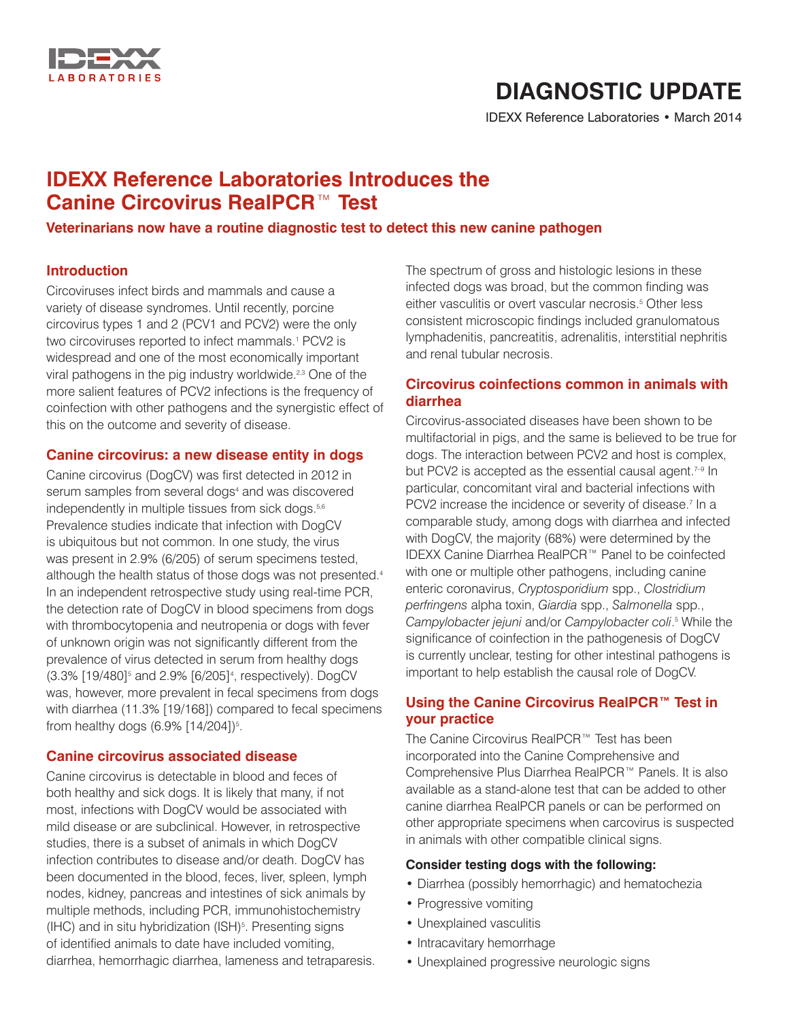

# **DIAGNOSTIC UPDATE**

IDEXX Reference Laboratories • March 2014

## **IDEXX Reference Laboratories Introduces the Canine Circovirus RealPCR**™ **Test**

## **Veterinarians now have a routine diagnostic test to detect this new canine pathogen**

## **Introduction**

Circoviruses infect birds and mammals and cause a variety of disease syndromes. Until recently, porcine circovirus types 1 and 2 (PCV1 and PCV2) were the only two circoviruses reported to infect mammals.<sup>1</sup> PCV2 is widespread and one of the most economically important viral pathogens in the pig industry worldwide.<sup>2,3</sup> One of the more salient features of PCV2 infections is the frequency of coinfection with other pathogens and the synergistic effect of this on the outcome and severity of disease.

## **Canine circovirus: a new disease entity in dogs**

Canine circovirus (DogCV) was first detected in 2012 in serum samples from several dogs<sup>4</sup> and was discovered independently in multiple tissues from sick dogs.<sup>5,6</sup> Prevalence studies indicate that infection with DogCV is ubiquitous but not common. In one study, the virus was present in 2.9% (6/205) of serum specimens tested, although the health status of those dogs was not presented.<sup>4</sup> In an independent retrospective study using real-time PCR, the detection rate of DogCV in blood specimens from dogs with thrombocytopenia and neutropenia or dogs with fever of unknown origin was not significantly different from the prevalence of virus detected in serum from healthy dogs  $(3.3\%$  [19/480]<sup>5</sup> and 2.9% [6/205]<sup>4</sup>, respectively). DogCV was, however, more prevalent in fecal specimens from dogs with diarrhea (11.3% [19/168]) compared to fecal specimens from healthy dogs  $(6.9\%~[14/204])^5$ .

## **Canine circovirus associated disease**

Canine circovirus is detectable in blood and feces of both healthy and sick dogs. It is likely that many, if not most, infections with DogCV would be associated with mild disease or are subclinical. However, in retrospective studies, there is a subset of animals in which DogCV infection contributes to disease and/or death. DogCV has been documented in the blood, feces, liver, spleen, lymph nodes, kidney, pancreas and intestines of sick animals by multiple methods, including PCR, immunohistochemistry  $(III)$  and in situ hybridization  $(ISH)$ <sup>5</sup>. Presenting signs of identified animals to date have included vomiting, diarrhea, hemorrhagic diarrhea, lameness and tetraparesis. The spectrum of gross and histologic lesions in these infected dogs was broad, but the common finding was either vasculitis or overt vascular necrosis.<sup>5</sup> Other less consistent microscopic findings included granulomatous lymphadenitis, pancreatitis, adrenalitis, interstitial nephritis and renal tubular necrosis.

## **Circovirus coinfections common in animals with diarrhea**

Circovirus-associated diseases have been shown to be multifactorial in pigs, and the same is believed to be true for dogs. The interaction between PCV2 and host is complex, but PCV2 is accepted as the essential causal agent.<sup>7-9</sup> In particular, concomitant viral and bacterial infections with PCV2 increase the incidence or severity of disease.<sup>7</sup> In a comparable study, among dogs with diarrhea and infected with DogCV, the majority (68%) were determined by the IDEXX Canine Diarrhea RealPCR™ Panel to be coinfected with one or multiple other pathogens, including canine enteric coronavirus, *Cryptosporidium* spp., *Clostridium perfringens* alpha toxin, *Giardia* spp., *Salmonella* spp., *Campylobacter jejuni* and/or *Campylobacter coli*. 5 While the significance of coinfection in the pathogenesis of DogCV is currently unclear, testing for other intestinal pathogens is important to help establish the causal role of DogCV.

## **Using the Canine Circovirus RealPCR™ Test in your practice**

The Canine Circovirus RealPCR™ Test has been incorporated into the Canine Comprehensive and Comprehensive Plus Diarrhea RealPCR™ Panels. It is also available as a stand-alone test that can be added to other canine diarrhea RealPCR panels or can be performed on other appropriate specimens when carcovirus is suspected in animals with other compatible clinical signs.

## **Consider testing dogs with the following:**

- Diarrhea (possibly hemorrhagic) and hematochezia
- Progressive vomiting
- Unexplained vasculitis
- Intracavitary hemorrhage
- Unexplained progressive neurologic signs